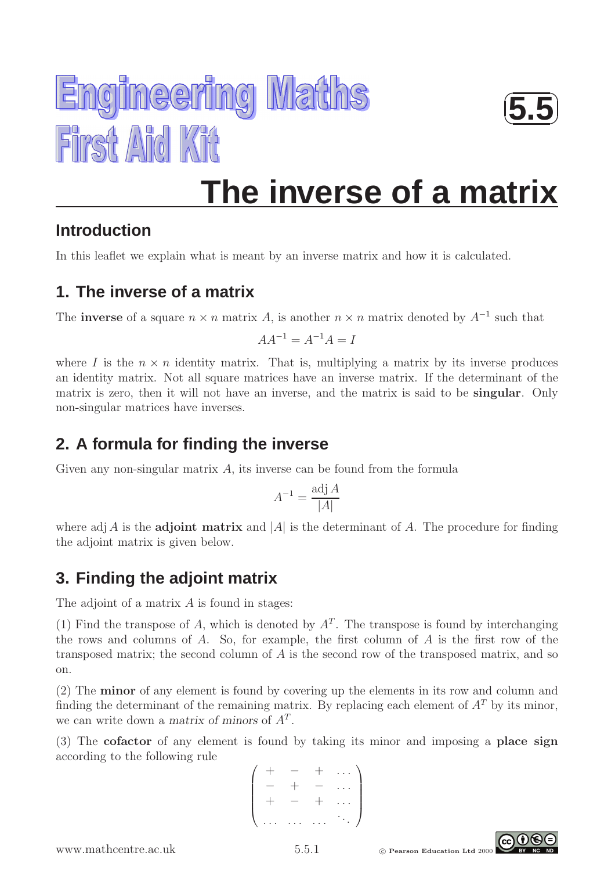



 $\sqrt{2}$ 

☞

**5.5** ✌

✍

### **Introduction**

In this leaflet we explain what is meant by an inverse matrix and how it is calculated.

#### **1. The inverse of a matrix**

The **inverse** of a square  $n \times n$  matrix A, is another  $n \times n$  matrix denoted by  $A^{-1}$  such that

 $AA^{-1} = A^{-1}A = I$ 

where I is the  $n \times n$  identity matrix. That is, multiplying a matrix by its inverse produces an identity matrix. Not all square matrices have an inverse matrix. If the determinant of the matrix is zero, then it will not have an inverse, and the matrix is said to be singular. Only non-singular matrices have inverses.

## **2. A formula for finding the inverse**

Given any non-singular matrix  $A$ , its inverse can be found from the formula

$$
A^{-1} = \frac{\text{adj } A}{|A|}
$$

where adj A is the **adjoint matrix** and |A| is the determinant of A. The procedure for finding the adjoint matrix is given below.

# **3. Finding the adjoint matrix**

The adjoint of a matrix  $A$  is found in stages:

(1) Find the transpose of A, which is denoted by  $A<sup>T</sup>$ . The transpose is found by interchanging the rows and columns of  $A$ . So, for example, the first column of  $A$  is the first row of the transposed matrix; the second column of A is the second row of the transposed matrix, and so on.

(2) The minor of any element is found by covering up the elements in its row and column and finding the determinant of the remaining matrix. By replacing each element of  $A<sup>T</sup>$  by its minor, we can write down a matrix of minors of  $A<sup>T</sup>$ .

(3) The cofactor of any element is found by taking its minor and imposing a place sign according to the following rule

$$
\left(\begin{array}{cccc} + & - & + & \dots \\ - & + & - & \dots \\ + & - & + & \dots \\ \dots & \dots & \dots & \dots \end{array}\right)
$$